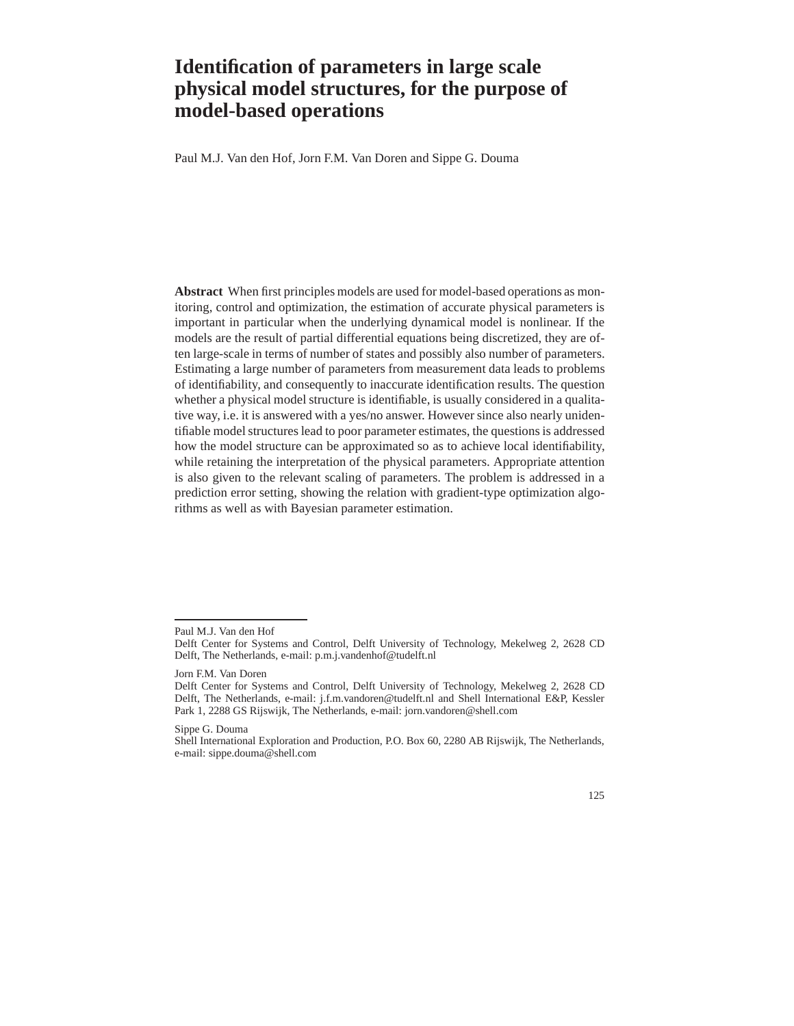# **Identification of parameters in large scale physical model structures, for the purpose of model-based operations**

Paul M.J. Van den Hof, Jorn F.M. Van Doren and Sippe G. Douma

**Abstract** When first principles models are used for model-based operations as monitoring, control and optimization, the estimation of accurate physical parameters is important in particular when the underlying dynamical model is nonlinear. If the models are the result of partial differential equations being discretized, they are often large-scale in terms of number of states and possibly also number of parameters. Estimating a large number of parameters from measurement data leads to problems of identifiability, and consequently to inaccurate identification results. The question whether a physical model structure is identifiable, is usually considered in a qualitative way, i.e. it is answered with a yes/no answer. However since also nearly unidentifiable model structures lead to poor parameter estimates, the questions is addressed how the model structure can be approximated so as to achieve local identifiability, while retaining the interpretation of the physical parameters. Appropriate attention is also given to the relevant scaling of parameters. The problem is addressed in a prediction error setting, showing the relation with gradient-type optimization algorithms as well as with Bayesian parameter estimation.

Jorn F.M. Van Doren

Shell International Exploration and Production, P.O. Box 60, 2280 AB Rijswijk, The Netherlands, e-mail: sippe.douma@shell.com



Paul M.J. Van den Hof

Delft Center for Systems and Control, Delft University of Technology, Mekelweg 2, 2628 CD Delft, The Netherlands, e-mail: p.m.j.vandenhof@tudelft.nl

Delft Center for Systems and Control, Delft University of Technology, Mekelweg 2, 2628 CD Delft, The Netherlands, e-mail: j.f.m.vandoren@tudelft.nl and Shell International E&P, Kessler Park 1, 2288 GS Rijswijk, The Netherlands, e-mail: jorn.vandoren@shell.com

Sippe G. Douma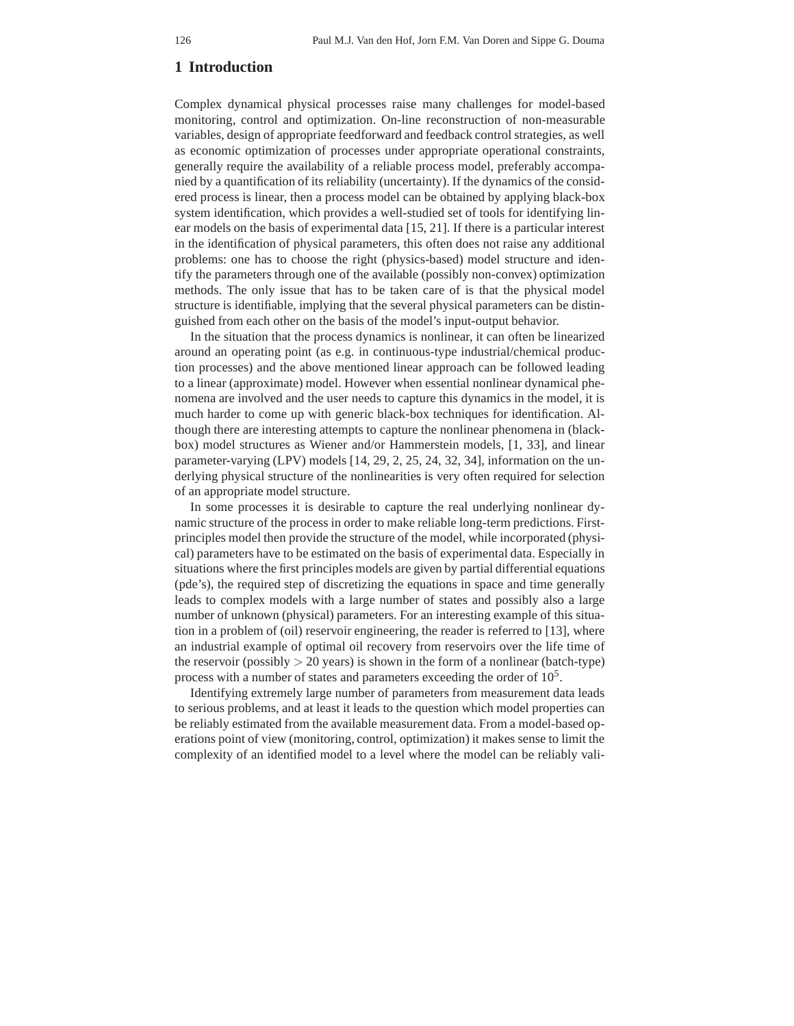#### **1 Introduction**

Complex dynamical physical processes raise many challenges for model-based monitoring, control and optimization. On-line reconstruction of non-measurable variables, design of appropriate feedforward and feedback control strategies, as well as economic optimization of processes under appropriate operational constraints, generally require the availability of a reliable process model, preferably accompanied by a quantification of its reliability (uncertainty). If the dynamics of the considered process is linear, then a process model can be obtained by applying black-box system identification, which provides a well-studied set of tools for identifying linear models on the basis of experimental data [15, 21]. If there is a particular interest in the identification of physical parameters, this often does not raise any additional problems: one has to choose the right (physics-based) model structure and identify the parameters through one of the available (possibly non-convex) optimization methods. The only issue that has to be taken care of is that the physical model structure is identifiable, implying that the several physical parameters can be distinguished from each other on the basis of the model's input-output behavior.

In the situation that the process dynamics is nonlinear, it can often be linearized around an operating point (as e.g. in continuous-type industrial/chemical production processes) and the above mentioned linear approach can be followed leading to a linear (approximate) model. However when essential nonlinear dynamical phenomena are involved and the user needs to capture this dynamics in the model, it is much harder to come up with generic black-box techniques for identification. Although there are interesting attempts to capture the nonlinear phenomena in (blackbox) model structures as Wiener and/or Hammerstein models, [1, 33], and linear parameter-varying (LPV) models [14, 29, 2, 25, 24, 32, 34], information on the underlying physical structure of the nonlinearities is very often required for selection of an appropriate model structure.

In some processes it is desirable to capture the real underlying nonlinear dynamic structure of the process in order to make reliable long-term predictions. Firstprinciples model then provide the structure of the model, while incorporated (physical) parameters have to be estimated on the basis of experimental data. Especially in situations where the first principles models are given by partial differential equations (pde's), the required step of discretizing the equations in space and time generally leads to complex models with a large number of states and possibly also a large number of unknown (physical) parameters. For an interesting example of this situation in a problem of (oil) reservoir engineering, the reader is referred to [13], where an industrial example of optimal oil recovery from reservoirs over the life time of the reservoir (possibly  $> 20$  years) is shown in the form of a nonlinear (batch-type) process with a number of states and parameters exceeding the order of  $10<sup>5</sup>$ .

Identifying extremely large number of parameters from measurement data leads to serious problems, and at least it leads to the question which model properties can be reliably estimated from the available measurement data. From a model-based operations point of view (monitoring, control, optimization) it makes sense to limit the complexity of an identified model to a level where the model can be reliably vali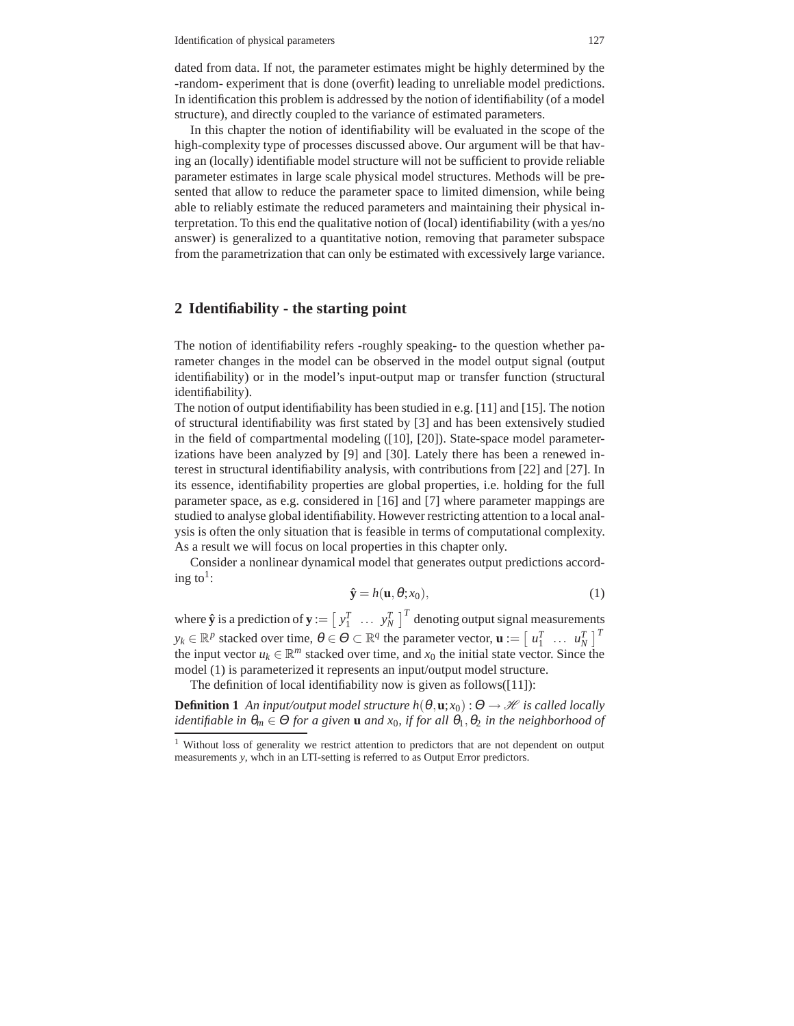dated from data. If not, the parameter estimates might be highly determined by the -random- experiment that is done (overfit) leading to unreliable model predictions. In identification this problem is addressed by the notion of identifiability (of a model structure), and directly coupled to the variance of estimated parameters.

In this chapter the notion of identifiability will be evaluated in the scope of the high-complexity type of processes discussed above. Our argument will be that having an (locally) identifiable model structure will not be sufficient to provide reliable parameter estimates in large scale physical model structures. Methods will be presented that allow to reduce the parameter space to limited dimension, while being able to reliably estimate the reduced parameters and maintaining their physical interpretation. To this end the qualitative notion of (local) identifiability (with a yes/no answer) is generalized to a quantitative notion, removing that parameter subspace from the parametrization that can only be estimated with excessively large variance.

## **2 Identifiability - the starting point**

The notion of identifiability refers -roughly speaking- to the question whether parameter changes in the model can be observed in the model output signal (output identifiability) or in the model's input-output map or transfer function (structural identifiability).

The notion of output identifiability has been studied in e.g. [11] and [15]. The notion of structural identifiability was first stated by [3] and has been extensively studied in the field of compartmental modeling ([10], [20]). State-space model parameterizations have been analyzed by [9] and [30]. Lately there has been a renewed interest in structural identifiability analysis, with contributions from [22] and [27]. In its essence, identifiability properties are global properties, i.e. holding for the full parameter space, as e.g. considered in [16] and [7] where parameter mappings are studied to analyse global identifiability. However restricting attention to a local analysis is often the only situation that is feasible in terms of computational complexity. As a result we will focus on local properties in this chapter only.

Consider a nonlinear dynamical model that generates output predictions according to<sup>1</sup>:

$$
\hat{\mathbf{y}} = h(\mathbf{u}, \theta; x_0),\tag{1}
$$

where  $\hat{\textbf{y}}$  is a prediction of  $\textbf{y} := \left[\begin{array}{cccc} y_1^T & \dots & y_N^T \end{array}\right]^T$  denoting output signal measurements  $y_k \in \mathbb{R}^p$  stacked over time,  $\theta \in \Theta \subset \mathbb{R}^q$  the parameter vector,  $\mathbf{u} := \left[ u_1^T \dots u_N^T \right]^T$ the input vector  $u_k \in \mathbb{R}^m$  stacked over time, and  $x_0$  the initial state vector. Since the model (1) is parameterized it represents an input/output model structure.

The definition of local identifiability now is given as follows([11]):

**Definition 1** An input/output model structure  $h(\theta, \mathbf{u}; x_0): \Theta \to \mathcal{H}$  is called locally *identifiable in*  $\theta_m \in \Theta$  *for a given* **u** *and*  $x_0$ *, if for all*  $\theta_1$ *,*  $\theta_2$  *in the neighborhood of* 

<sup>&</sup>lt;sup>1</sup> Without loss of generality we restrict attention to predictors that are not dependent on output measurements *y*, whch in an LTI-setting is referred to as Output Error predictors.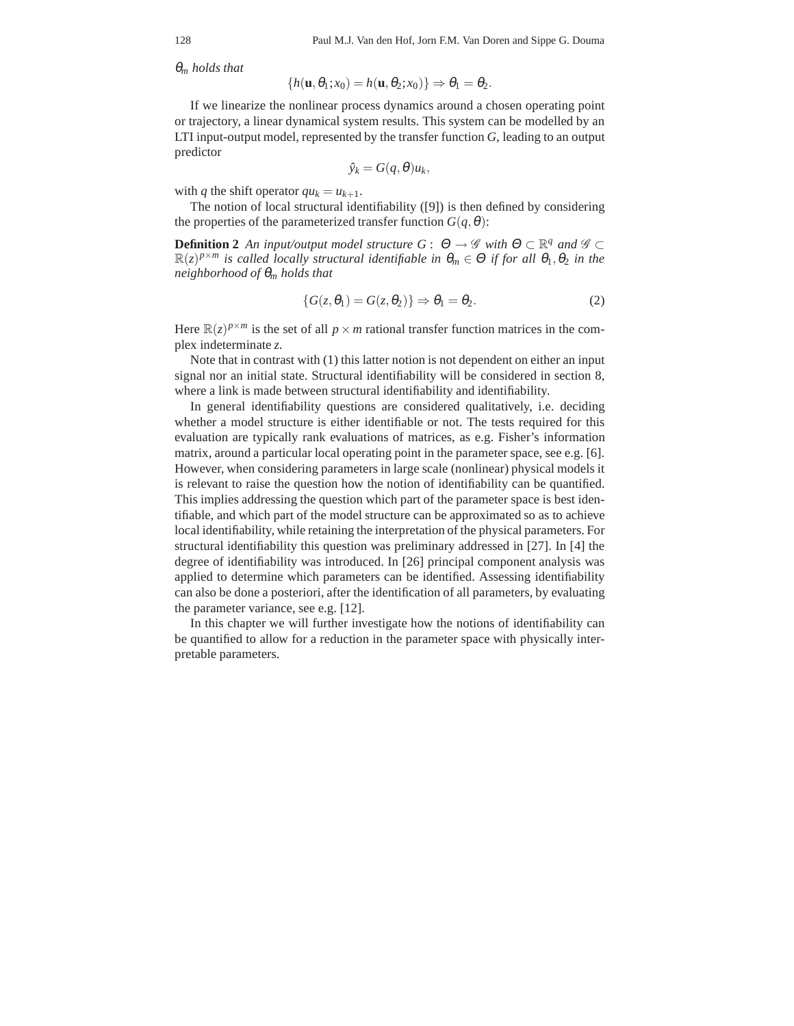<sup>θ</sup>*<sup>m</sup> holds that*

$$
\{h(\mathbf{u},\theta_1;x_0)=h(\mathbf{u},\theta_2;x_0)\}\Rightarrow\theta_1=\theta_2.
$$

If we linearize the nonlinear process dynamics around a chosen operating point or trajectory, a linear dynamical system results. This system can be modelled by an LTI input-output model, represented by the transfer function *G*, leading to an output predictor

$$
\hat{y}_k = G(q, \theta) u_k,
$$

with *q* the shift operator  $qu_k = u_{k+1}$ .

The notion of local structural identifiability ([9]) is then defined by considering the properties of the parameterized transfer function  $G(q, \theta)$ :

**Definition 2** An input/output model structure  $G: \Theta \rightarrow \mathscr{G}$  with  $\Theta \subset \mathbb{R}^q$  and  $\mathscr{G} \subset$  $\mathbb{R}(z)^{p \times m}$  *is called locally structural identifiable in*  $\theta_m \in \Theta$  *if for all*  $\theta_1, \theta_2$  *in the neighborhood of* <sup>θ</sup>*<sup>m</sup> holds that*

$$
\{G(z,\theta_1)=G(z,\theta_2)\}\Rightarrow\theta_1=\theta_2.\tag{2}
$$

Here  $\mathbb{R}(z)^{p \times m}$  is the set of all  $p \times m$  rational transfer function matrices in the complex indeterminate *z*.

Note that in contrast with (1) this latter notion is not dependent on either an input signal nor an initial state. Structural identifiability will be considered in section 8, where a link is made between structural identifiability and identifiability.

In general identifiability questions are considered qualitatively, i.e. deciding whether a model structure is either identifiable or not. The tests required for this evaluation are typically rank evaluations of matrices, as e.g. Fisher's information matrix, around a particular local operating point in the parameter space, see e.g. [6]. However, when considering parameters in large scale (nonlinear) physical models it is relevant to raise the question how the notion of identifiability can be quantified. This implies addressing the question which part of the parameter space is best identifiable, and which part of the model structure can be approximated so as to achieve local identifiability, while retaining the interpretation of the physical parameters. For structural identifiability this question was preliminary addressed in [27]. In [4] the degree of identifiability was introduced. In [26] principal component analysis was applied to determine which parameters can be identified. Assessing identifiability can also be done a posteriori, after the identification of all parameters, by evaluating the parameter variance, see e.g. [12].

In this chapter we will further investigate how the notions of identifiability can be quantified to allow for a reduction in the parameter space with physically interpretable parameters.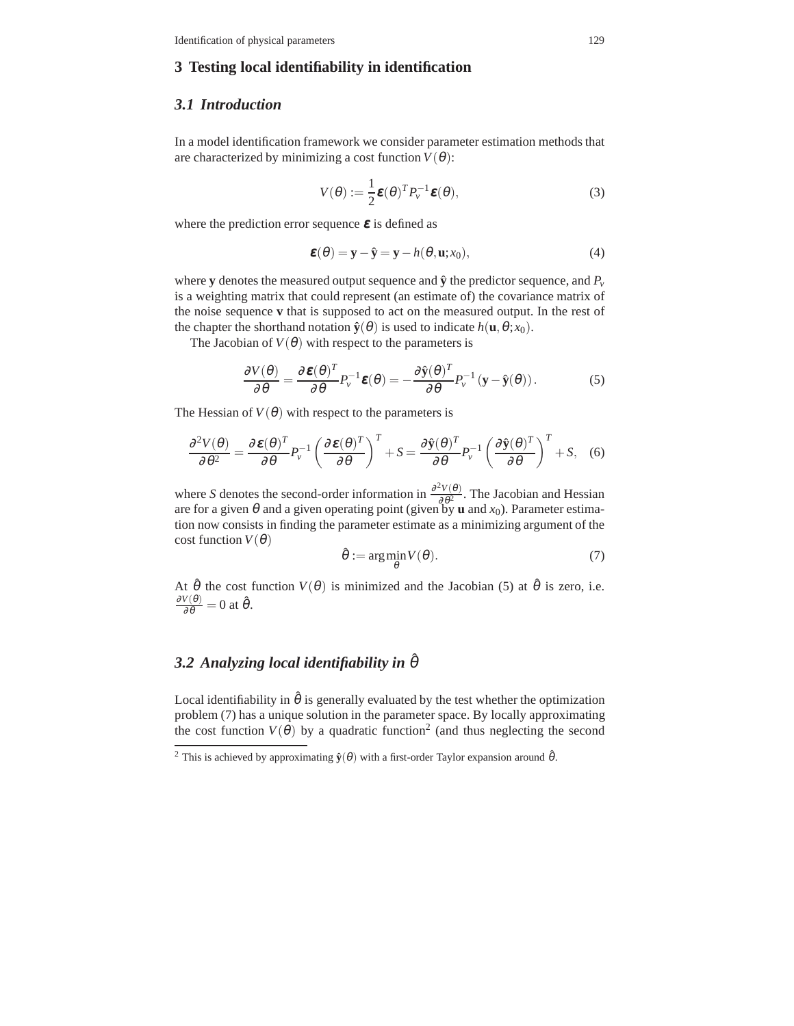## **3 Testing local identifiability in identification**

#### *3.1 Introduction*

In a model identification framework we consider parameter estimation methods that are characterized by minimizing a cost function  $V(\theta)$ :

$$
V(\theta) := \frac{1}{2} \boldsymbol{\varepsilon}(\theta)^T P_{\nu}^{-1} \boldsymbol{\varepsilon}(\theta),
$$
\n(3)

where the prediction error sequence  $\boldsymbol{\varepsilon}$  is defined as

$$
\boldsymbol{\varepsilon}(\boldsymbol{\theta}) = \mathbf{y} - \hat{\mathbf{y}} = \mathbf{y} - h(\boldsymbol{\theta}, \mathbf{u}; x_0),
$$
\n(4)

where **y** denotes the measured output sequence and  $\hat{\mathbf{v}}$  the predictor sequence, and  $P_\nu$ is a weighting matrix that could represent (an estimate of) the covariance matrix of the noise sequence **v** that is supposed to act on the measured output. In the rest of the chapter the shorthand notation  $\hat{\mathbf{y}}(\theta)$  is used to indicate  $h(\mathbf{u}, \theta; x_0)$ .

The Jacobian of  $V(\theta)$  with respect to the parameters is

$$
\frac{\partial V(\theta)}{\partial \theta} = \frac{\partial \boldsymbol{\varepsilon}(\theta)^T}{\partial \theta} P_{\nu}^{-1} \boldsymbol{\varepsilon}(\theta) = -\frac{\partial \hat{\mathbf{y}}(\theta)^T}{\partial \theta} P_{\nu}^{-1} (\mathbf{y} - \hat{\mathbf{y}}(\theta)).
$$
 (5)

The Hessian of  $V(\theta)$  with respect to the parameters is

$$
\frac{\partial^2 V(\theta)}{\partial \theta^2} = \frac{\partial \boldsymbol{\varepsilon}(\theta)^T}{\partial \theta} P_{\nu}^{-1} \left( \frac{\partial \boldsymbol{\varepsilon}(\theta)^T}{\partial \theta} \right)^T + S = \frac{\partial \hat{\mathbf{y}}(\theta)^T}{\partial \theta} P_{\nu}^{-1} \left( \frac{\partial \hat{\mathbf{y}}(\theta)^T}{\partial \theta} \right)^T + S, \quad (6)
$$

where *S* denotes the second-order information in  $\frac{\partial^2 V(\theta)}{\partial \theta^2}$ . The Jacobian and Hessian are for a given  $\theta$  and a given operating point (given by  $\mathbf u$  and  $x_0$ ). Parameter estimation now consists in finding the parameter estimate as a minimizing argument of the cost function  $V(\theta)$ 

$$
\hat{\theta} := \arg\min_{\theta} V(\theta). \tag{7}
$$

At  $\hat{\theta}$  the cost function  $V(\theta)$  is minimized and the Jacobian (5) at  $\hat{\theta}$  is zero, i.e.  $\frac{\partial V(\theta)}{\partial \theta} = 0$  at  $\hat{\theta}$ .

## **3.2 Analyzing local identifiability in**  $\hat{\theta}$

Local identifiability in  $\hat{\theta}$  is generally evaluated by the test whether the optimization problem (7) has a unique solution in the parameter space. By locally approximating the cost function  $V(\theta)$  by a quadratic function<sup>2</sup> (and thus neglecting the second

<sup>&</sup>lt;sup>2</sup> This is achieved by approximating  $\hat{y}(\theta)$  with a first-order Taylor expansion around  $\hat{\theta}$ .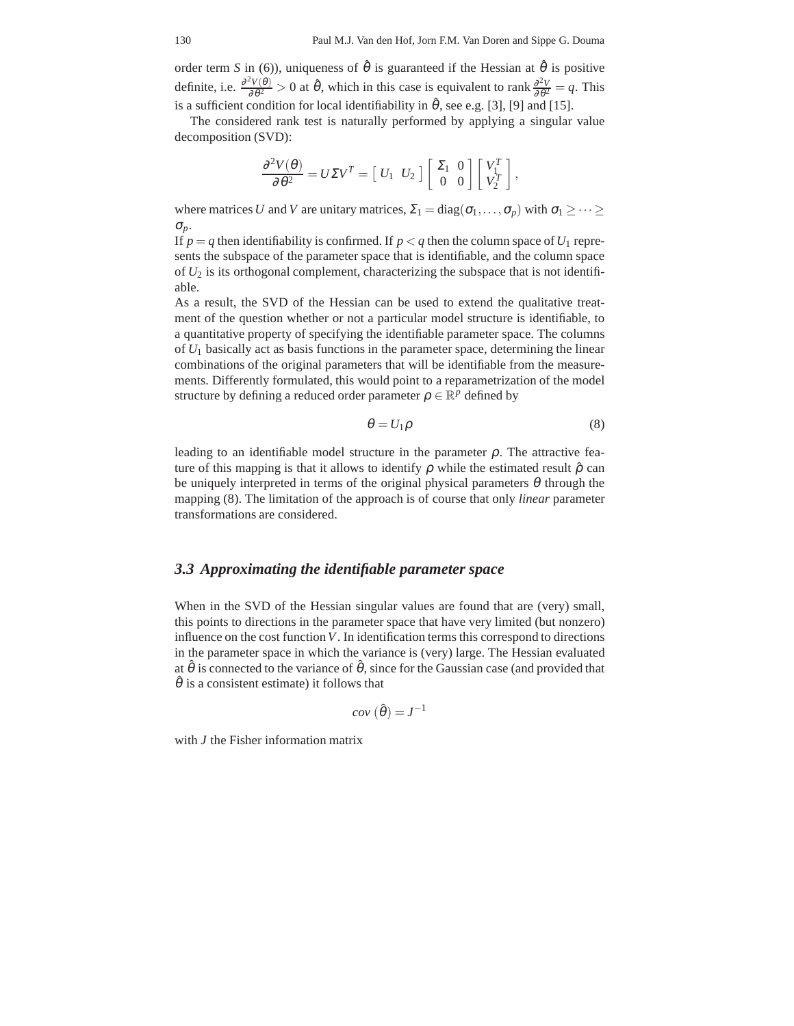order term *S* in (6)), uniqueness of  $\hat{\theta}$  is guaranteed if the Hessian at  $\hat{\theta}$  is positive definite, i.e.  $\frac{\partial^2 V(\theta)}{\partial \theta^2} > 0$  at  $\hat{\theta}$ , which in this case is equivalent to rank  $\frac{\partial^2 V}{\partial \theta^2} = q$ . This is a sufficient condition for local identifiability in  $\hat{\theta}$ , see e.g. [3], [9] and [15].

The considered rank test is naturally performed by applying a singular value decomposition (SVD):

$$
\frac{\partial^2 V(\theta)}{\partial \theta^2} = U \Sigma V^T = \begin{bmatrix} U_1 & U_2 \end{bmatrix} \begin{bmatrix} \Sigma_1 & 0 \\ 0 & 0 \end{bmatrix} \begin{bmatrix} V_1^T \\ V_2^T \end{bmatrix},
$$

where matrices *U* and *V* are unitary matrices,  $\Sigma_1 = \text{diag}(\sigma_1, \dots, \sigma_p)$  with  $\sigma_1 \geq \dots \geq \sigma_p$ <sup>σ</sup>*p*.

If  $p = q$  then identifiability is confirmed. If  $p < q$  then the column space of  $U_1$  represents the subspace of the parameter space that is identifiable, and the column space of  $U_2$  is its orthogonal complement, characterizing the subspace that is not identifiable.

As a result, the SVD of the Hessian can be used to extend the qualitative treatment of the question whether or not a particular model structure is identifiable, to a quantitative property of specifying the identifiable parameter space. The columns of *U*<sup>1</sup> basically act as basis functions in the parameter space, determining the linear combinations of the original parameters that will be identifiable from the measurements. Differently formulated, this would point to a reparametrization of the model structure by defining a reduced order parameter  $\rho \in \mathbb{R}^p$  defined by

$$
\theta = U_1 \rho \tag{8}
$$

leading to an identifiable model structure in the parameter  $\rho$ . The attractive feature of this mapping is that it allows to identify  $\rho$  while the estimated result  $\hat{\rho}$  can be uniquely interpreted in terms of the original physical parameters  $\theta$  through the mapping (8). The limitation of the approach is of course that only *linear* parameter transformations are considered.

## *3.3 Approximating the identifiable parameter space*

When in the SVD of the Hessian singular values are found that are (very) small, this points to directions in the parameter space that have very limited (but nonzero) influence on the cost function*V*. In identification terms this correspond to directions in the parameter space in which the variance is (very) large. The Hessian evaluated at  $\hat{\theta}$  is connected to the variance of  $\hat{\theta}$ , since for the Gaussian case (and provided that  $\hat{\theta}$  is a consistent estimate) it follows that

$$
cov\left(\hat{\theta}\right) = J^{-1}
$$

with *J* the Fisher information matrix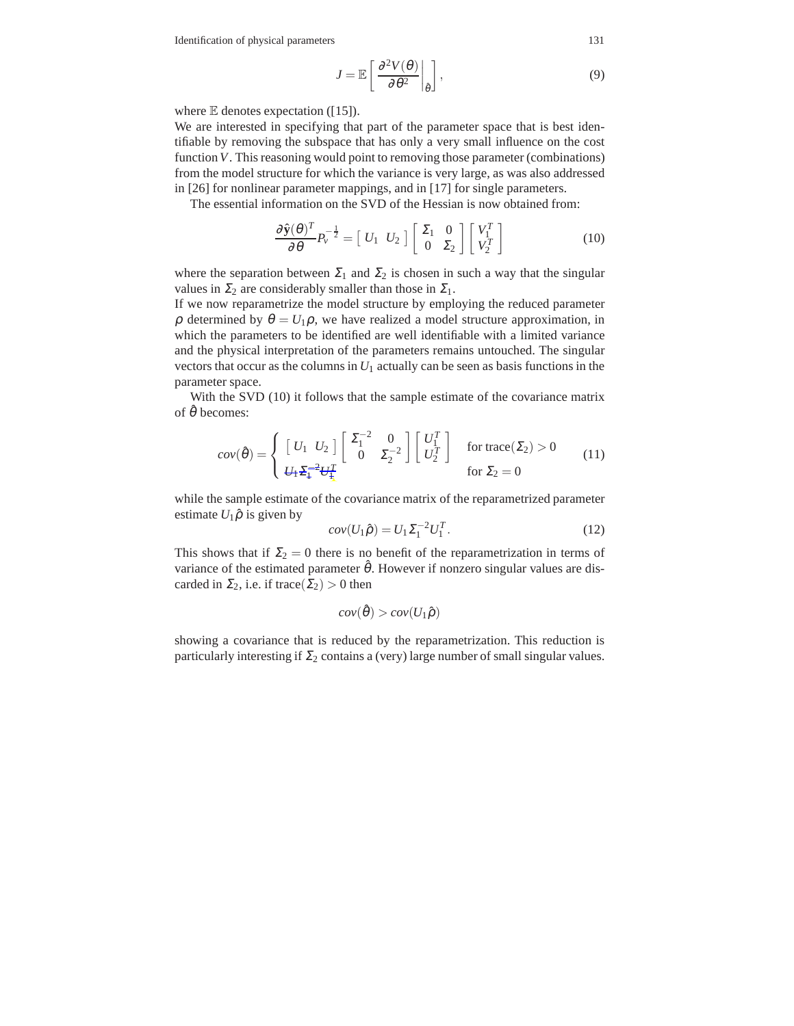Identification of physical parameters 131

$$
J = \mathbb{E}\left[\left.\frac{\partial^2 V(\theta)}{\partial \theta^2}\right|_{\hat{\theta}}\right],\tag{9}
$$

where  $E$  denotes expectation ([15]).

We are interested in specifying that part of the parameter space that is best identifiable by removing the subspace that has only a very small influence on the cost function *V*. This reasoning would point to removing those parameter (combinations) from the model structure for which the variance is very large, as was also addressed in [26] for nonlinear parameter mappings, and in [17] for single parameters.

The essential information on the SVD of the Hessian is now obtained from:

$$
\frac{\partial \hat{\mathbf{y}}(\theta)^T}{\partial \theta} P_{\mathbf{v}}^{-\frac{1}{2}} = \begin{bmatrix} U_1 & U_2 \end{bmatrix} \begin{bmatrix} \Sigma_1 & 0 \\ 0 & \Sigma_2 \end{bmatrix} \begin{bmatrix} V_1^T \\ V_2^T \end{bmatrix}
$$
(10)

where the separation between  $\Sigma_1$  and  $\Sigma_2$  is chosen in such a way that the singular values in  $\Sigma_2$  are considerably smaller than those in  $\Sigma_1$ .

If we now reparametrize the model structure by employing the reduced parameter  $ρ$  determined by  $θ = U_1ρ$ , we have realized a model structure approximation, in which the parameters to be identified are well identifiable with a limited variance and the physical interpretation of the parameters remains untouched. The singular vectors that occur as the columns in  $U_1$  actually can be seen as basis functions in the parameter space.

With the SVD (10) it follows that the sample estimate of the covariance matrix of  $\hat{\theta}$  becomes:

$$
cov(\hat{\theta}) = \begin{cases} \begin{bmatrix} U_1 & U_2 \end{bmatrix} \begin{bmatrix} \Sigma_1^{-2} & 0 \\ 0 & \Sigma_2^{-2} \end{bmatrix} \begin{bmatrix} U_1^T \\ U_2^T \end{bmatrix} & \text{for trace}(\Sigma_2) > 0\\ \text{for } \Sigma_2 = 0 \end{cases}
$$
(11)

while the sample estimate of the covariance matrix of the reparametrized parameter estimate  $U_1 \hat{\rho}$  is given by

$$
cov(U_1\hat{\rho}) = U_1 \Sigma_1^{-2} U_1^T.
$$
 (12)

This shows that if  $\Sigma_2 = 0$  there is no benefit of the reparametrization in terms of variance of the estimated parameter  $\hat{\theta}$ . However if nonzero singular values are discarded in  $\Sigma_2$ , i.e. if trace( $\Sigma_2$ ) > 0 then

$$
cov(\hat{\theta}) > cov(U_1\hat{\rho})
$$

showing a covariance that is reduced by the reparametrization. This reduction is particularly interesting if  $\Sigma_2$  contains a (very) large number of small singular values.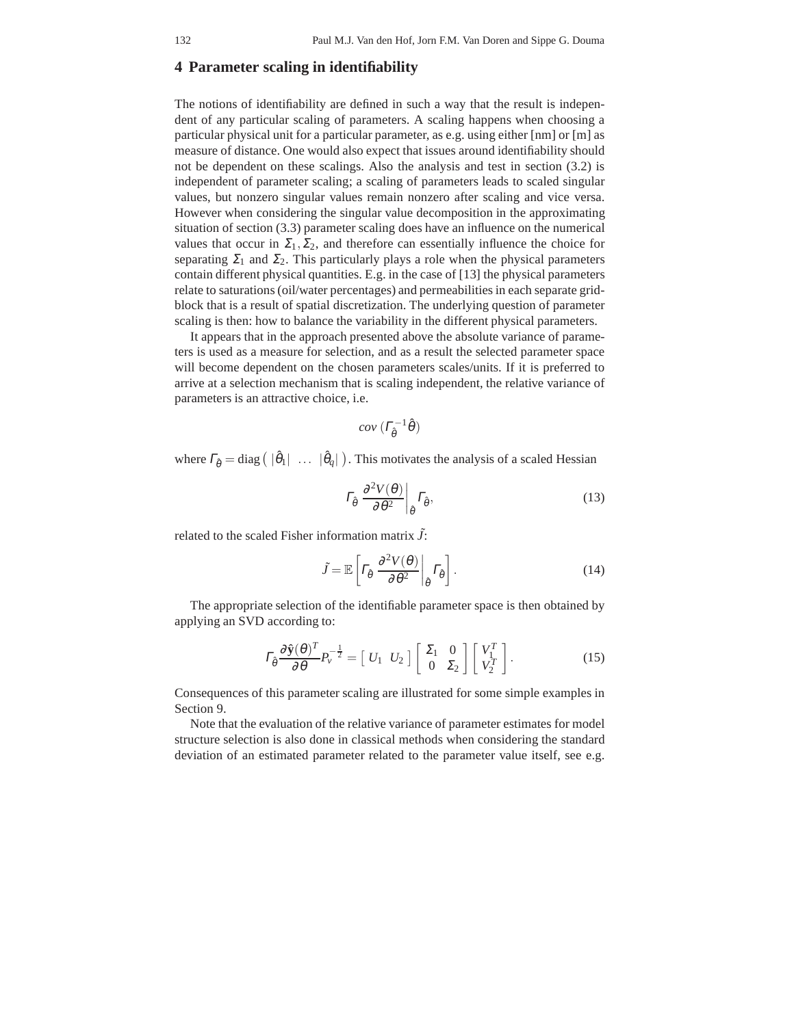### **4 Parameter scaling in identifiability**

The notions of identifiability are defined in such a way that the result is independent of any particular scaling of parameters. A scaling happens when choosing a particular physical unit for a particular parameter, as e.g. using either [nm] or [m] as measure of distance. One would also expect that issues around identifiability should not be dependent on these scalings. Also the analysis and test in section (3.2) is independent of parameter scaling; a scaling of parameters leads to scaled singular values, but nonzero singular values remain nonzero after scaling and vice versa. However when considering the singular value decomposition in the approximating situation of section (3.3) parameter scaling does have an influence on the numerical values that occur in  $\Sigma_1$ ,  $\Sigma_2$ , and therefore can essentially influence the choice for separating  $\Sigma_1$  and  $\Sigma_2$ . This particularly plays a role when the physical parameters contain different physical quantities. E.g. in the case of [13] the physical parameters relate to saturations (oil/water percentages) and permeabilities in each separate gridblock that is a result of spatial discretization. The underlying question of parameter scaling is then: how to balance the variability in the different physical parameters.

It appears that in the approach presented above the absolute variance of parameters is used as a measure for selection, and as a result the selected parameter space will become dependent on the chosen parameters scales/units. If it is preferred to arrive at a selection mechanism that is scaling independent, the relative variance of parameters is an attractive choice, i.e.

$$
cov(\Gamma_{\hat{\theta}}^{-1}\hat{\theta})
$$

where  $\Gamma_{\hat{\theta}} = \text{diag}(|\hat{\theta}_1| \dots |\hat{\theta}_q|)$ . This motivates the analysis of a scaled Hessian

$$
\Gamma_{\hat{\theta}} \left. \frac{\partial^2 V(\theta)}{\partial \theta^2} \right|_{\hat{\theta}} \Gamma_{\hat{\theta}},\tag{13}
$$

related to the scaled Fisher information matrix  $\tilde{J}$ :

$$
\tilde{J} = \mathbb{E}\left[\Gamma_{\hat{\theta}} \left. \frac{\partial^2 V(\theta)}{\partial \theta^2} \right|_{\hat{\theta}} \Gamma_{\hat{\theta}}\right].
$$
\n(14)

The appropriate selection of the identifiable parameter space is then obtained by applying an SVD according to:

$$
\Gamma_{\hat{\theta}} \frac{\partial \hat{\mathbf{y}}(\theta)^{T}}{\partial \theta} P_{\nu}^{-\frac{1}{2}} = \begin{bmatrix} U_1 & U_2 \end{bmatrix} \begin{bmatrix} \Sigma_1 & 0 \\ 0 & \Sigma_2 \end{bmatrix} \begin{bmatrix} V_1^T \\ V_2^T \end{bmatrix}.
$$
 (15)

Consequences of this parameter scaling are illustrated for some simple examples in Section 9.

Note that the evaluation of the relative variance of parameter estimates for model structure selection is also done in classical methods when considering the standard deviation of an estimated parameter related to the parameter value itself, see e.g.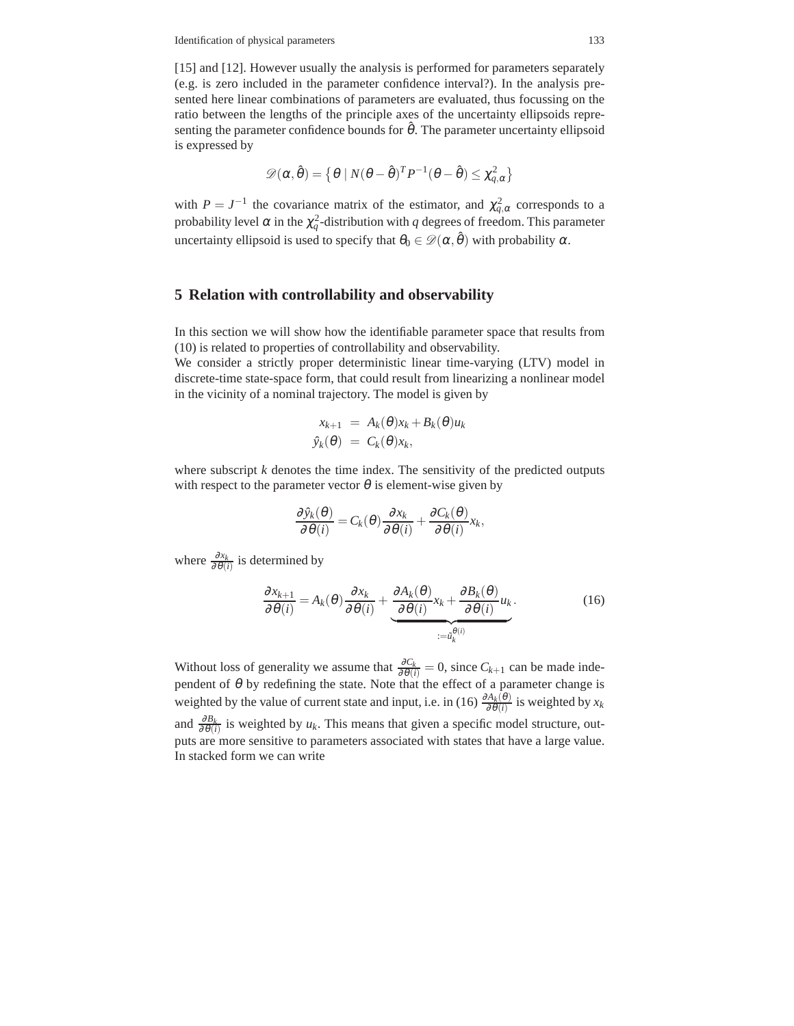[15] and [12]. However usually the analysis is performed for parameters separately (e.g. is zero included in the parameter confidence interval?). In the analysis presented here linear combinations of parameters are evaluated, thus focussing on the ratio between the lengths of the principle axes of the uncertainty ellipsoids representing the parameter confidence bounds for  $\hat{\theta}$ . The parameter uncertainty ellipsoid is expressed by

$$
\mathscr{D}(\alpha, \hat{\theta}) = \left\{\theta \mid N(\theta - \hat{\theta})^T P^{-1}(\theta - \hat{\theta}) \leq \chi^2_{q,\alpha}\right\}
$$

with  $P = J^{-1}$  the covariance matrix of the estimator, and  $\chi^2_{q,\alpha}$  corresponds to a probability level  $\alpha$  in the  $\chi_q^2$ -distribution with  $q$  degrees of freedom. This parameter uncertainty ellipsoid is used to specify that  $\theta_0 \in \mathcal{D}(\alpha, \hat{\theta})$  with probability  $\alpha$ .

## **5 Relation with controllability and observability**

In this section we will show how the identifiable parameter space that results from (10) is related to properties of controllability and observability.

We consider a strictly proper deterministic linear time-varying (LTV) model in discrete-time state-space form, that could result from linearizing a nonlinear model in the vicinity of a nominal trajectory. The model is given by

$$
x_{k+1} = A_k(\theta)x_k + B_k(\theta)u_k
$$
  

$$
\hat{y}_k(\theta) = C_k(\theta)x_k,
$$

where subscript  $k$  denotes the time index. The sensitivity of the predicted outputs with respect to the parameter vector  $\theta$  is element-wise given by

$$
\frac{\partial \hat{y}_k(\theta)}{\partial \theta(i)} = C_k(\theta) \frac{\partial x_k}{\partial \theta(i)} + \frac{\partial C_k(\theta)}{\partial \theta(i)} x_k,
$$

where  $\frac{\partial x_k}{\partial \theta(i)}$  is determined by

$$
\frac{\partial x_{k+1}}{\partial \theta(i)} = A_k(\theta) \frac{\partial x_k}{\partial \theta(i)} + \underbrace{\frac{\partial A_k(\theta)}{\partial \theta(i)} x_k + \frac{\partial B_k(\theta)}{\partial \theta(i)} u_k}_{:=a_k^{\theta(i)}}.
$$
\n(16)

Without loss of generality we assume that  $\frac{\partial C_k}{\partial \theta(i)} = 0$ , since  $C_{k+1}$  can be made independent of  $\theta$  by redefining the state. Note that the effect of a parameter change is weighted by the value of current state and input, i.e. in (16)  $\frac{\partial A_k(\theta)}{\partial \theta(i)}$  $\frac{\partial A_k(\theta)}{\partial \theta(i)}$  is weighted by  $x_k$ and  $\frac{\partial B_k}{\partial \theta(i)}$  is weighted by  $u_k$ . This means that given a specific model structure, outputs are more sensitive to parameters associated with states that have a large value. In stacked form we can write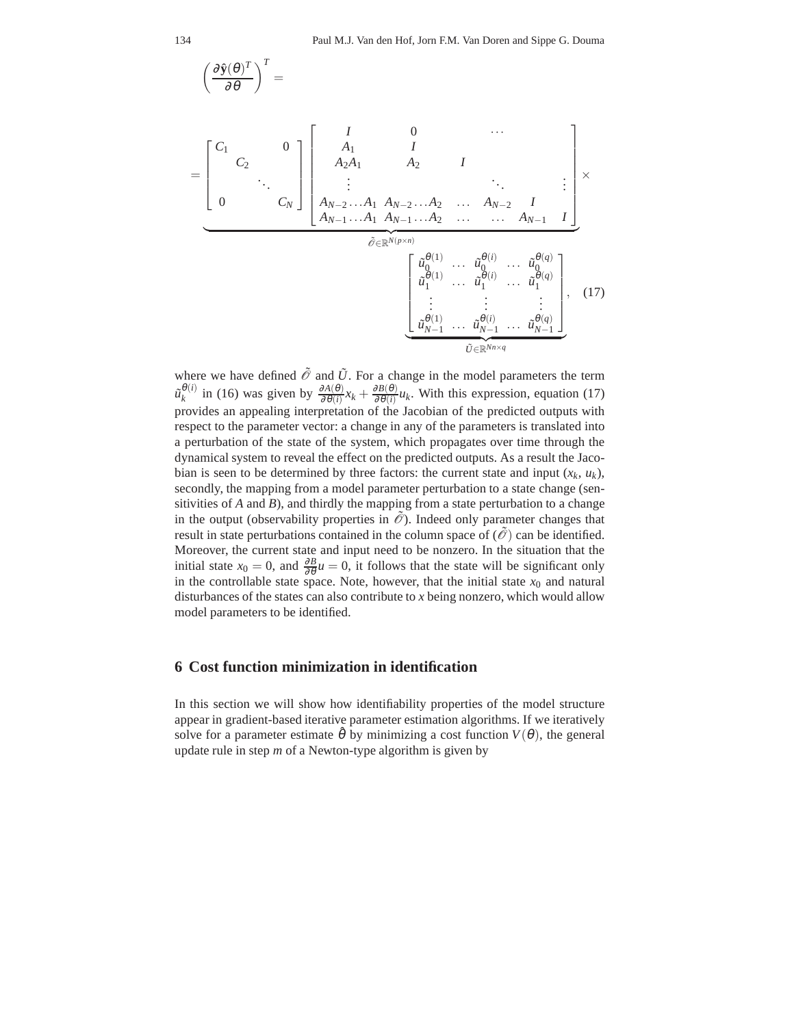$$
\left(\frac{\partial \hat{\mathbf{y}}(\theta)^{T}}{\partial \theta}\right)^{T} = \left[\begin{array}{c} C_{1} & 0 \\ C_{2} & \cdots \\ 0 & C_{N} \end{array}\right] \left[\begin{array}{cccc} I & 0 & \cdots \\ A_{1} & I & \cdots \\ A_{2}A_{1} & A_{2} & I & \cdots \\ \vdots & \ddots & \vdots \\ A_{N-1} \cdots A_{1} & A_{N-2} \cdots A_{2} & \cdots & A_{N-2} & I \\ A_{N-1} \cdots A_{1} & A_{N-1} \cdots A_{2} & \cdots & A_{N-1} & I \end{array}\right] \times \left[\begin{array}{c} \vdots \\ A_{N-2} \cdots A_{1} & A_{N-2} \cdots A_{2} & \cdots & A_{N-2} & I \\ \vdots & \ddots & \vdots \\ A_{N-1}^{0}(1) & \cdots & A_{0}^{0}(i) & \cdots & A_{0}^{0}(i) \\ \vdots & \vdots & \vdots & \vdots \\ A_{N-1}^{0}(1) & \cdots & A_{N-1}^{0}(i) & \cdots & A_{N-1}^{0}(i) \\ \vdots & \vdots & \vdots & \vdots \\ A_{N-1}^{0}(1) & \cdots & A_{N-1}^{0}(i) & \cdots & A_{N-1}^{0}(i) \\ \vdots & \vdots & \vdots & \vdots \\ A_{N-1}^{0}(1) & \cdots & A_{N-1}^{0}(i) & \cdots & A_{N-1}^{0}(i) \\ \vdots & \vdots & \vdots & \vdots \\ A_{N-1}^{0}(1) & \cdots & A_{N-1}^{0}(i) & \cdots & A_{N-1}^{0}(i) \end{array}\right], (17)
$$

where we have defined  $\hat{\mathcal{O}}$  and  $\tilde{U}$ . For a change in the model parameters the term  $\tilde{u}_k^{\theta(i)}$  $\frac{\theta(i)}{k}$  in (16) was given by  $\frac{\partial A(\theta)}{\partial \theta(i)} x_k + \frac{\partial B(\theta)}{\partial \theta(i)}$  $\frac{\partial B(\theta)}{\partial \theta(i)} u_k$ . With this expression, equation (17) provides an appealing interpretation of the Jacobian of the predicted outputs with respect to the parameter vector: a change in any of the parameters is translated into a perturbation of the state of the system, which propagates over time through the dynamical system to reveal the effect on the predicted outputs. As a result the Jacobian is seen to be determined by three factors: the current state and input  $(x_k, u_k)$ , secondly, the mapping from a model parameter perturbation to a state change (sensitivities of *A* and *B*), and thirdly the mapping from a state perturbation to a change in the output (observability properties in  $\hat{\mathcal{O}}$ ). Indeed only parameter changes that result in state perturbations contained in the column space of  $(\tilde{\mathcal{O}})$  can be identified. Moreover, the current state and input need to be nonzero. In the situation that the initial state  $x_0 = 0$ , and  $\frac{\partial B}{\partial \theta}u = 0$ , it follows that the state will be significant only in the controllable state space. Note, however, that the initial state  $x_0$  and natural disturbances of the states can also contribute to *x* being nonzero, which would allow model parameters to be identified.

#### **6 Cost function minimization in identification**

In this section we will show how identifiability properties of the model structure appear in gradient-based iterative parameter estimation algorithms. If we iteratively solve for a parameter estimate  $\hat{\theta}$  by minimizing a cost function  $V(\theta)$ , the general update rule in step *m* of a Newton-type algorithm is given by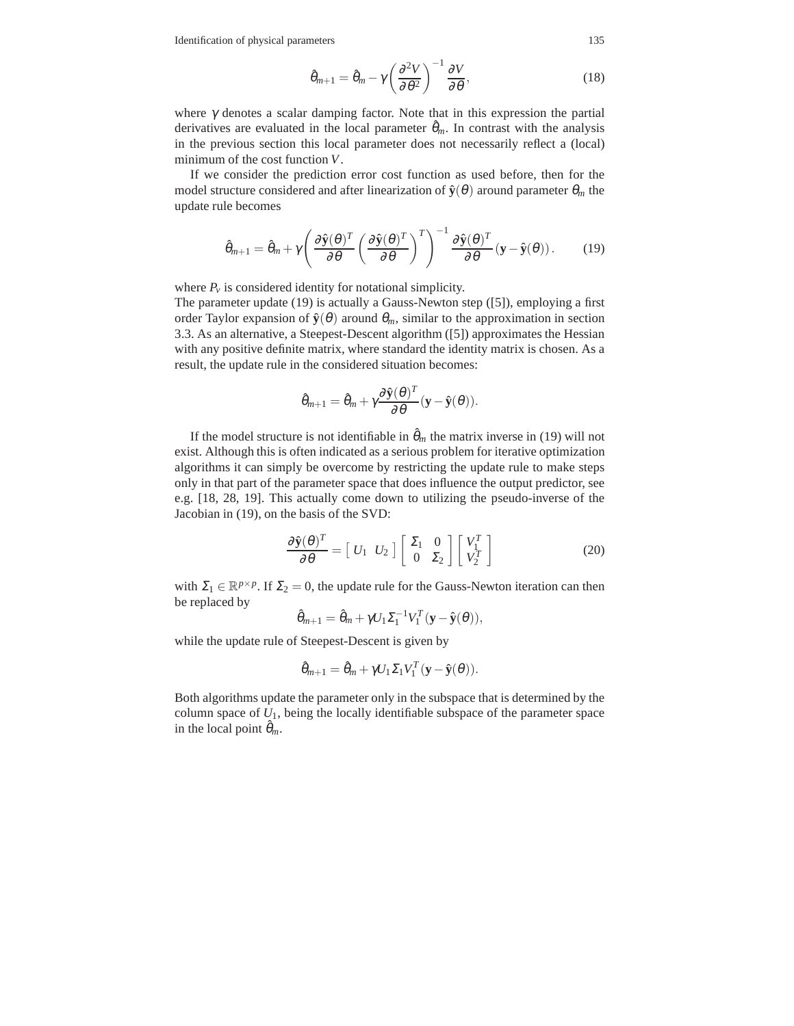Identification of physical parameters 135

$$
\hat{\theta}_{m+1} = \hat{\theta}_m - \gamma \left(\frac{\partial^2 V}{\partial \theta^2}\right)^{-1} \frac{\partial V}{\partial \theta},\tag{18}
$$

where  $\gamma$  denotes a scalar damping factor. Note that in this expression the partial derivatives are evaluated in the local parameter  $\hat{\theta}_m$ . In contrast with the analysis in the previous section this local parameter does not necessarily reflect a (local) minimum of the cost function *V*.

If we consider the prediction error cost function as used before, then for the model structure considered and after linearization of  $\hat{y}(\theta)$  around parameter  $\theta_m$  the update rule becomes

$$
\hat{\theta}_{m+1} = \hat{\theta}_m + \gamma \left( \frac{\partial \hat{\mathbf{y}}(\theta)^T}{\partial \theta} \left( \frac{\partial \hat{\mathbf{y}}(\theta)^T}{\partial \theta} \right)^T \right)^{-1} \frac{\partial \hat{\mathbf{y}}(\theta)^T}{\partial \theta} (\mathbf{y} - \hat{\mathbf{y}}(\theta)).
$$
 (19)

where  $P_\nu$  is considered identity for notational simplicity.

The parameter update (19) is actually a Gauss-Newton step ([5]), employing a first order Taylor expansion of  $\hat{y}(\theta)$  around  $\theta_m$ , similar to the approximation in section 3.3. As an alternative, a Steepest-Descent algorithm ([5]) approximates the Hessian with any positive definite matrix, where standard the identity matrix is chosen. As a result, the update rule in the considered situation becomes:

$$
\hat{\theta}_{m+1} = \hat{\theta}_m + \gamma \frac{\partial \hat{\mathbf{y}}(\theta)^T}{\partial \theta} (\mathbf{y} - \hat{\mathbf{y}}(\theta)).
$$

If the model structure is not identifiable in  $\hat{\theta}_m$  the matrix inverse in (19) will not exist. Although this is often indicated as a serious problem for iterative optimization algorithms it can simply be overcome by restricting the update rule to make steps only in that part of the parameter space that does influence the output predictor, see e.g. [18, 28, 19]. This actually come down to utilizing the pseudo-inverse of the Jacobian in (19), on the basis of the SVD:

$$
\frac{\partial \hat{\mathbf{y}}(\theta)^T}{\partial \theta} = \begin{bmatrix} U_1 & U_2 \end{bmatrix} \begin{bmatrix} \Sigma_1 & 0 \\ 0 & \Sigma_2 \end{bmatrix} \begin{bmatrix} V_1^T \\ V_2^T \end{bmatrix}
$$
(20)

with  $\Sigma_1 \in \mathbb{R}^{p \times p}$ . If  $\Sigma_2 = 0$ , the update rule for the Gauss-Newton iteration can then be replaced by

$$
\hat{\theta}_{m+1} = \hat{\theta}_m + \gamma U_1 \Sigma_1^{-1} V_1^T (\mathbf{y} - \hat{\mathbf{y}}(\theta)),
$$

while the update rule of Steepest-Descent is given by

$$
\hat{\theta}_{m+1} = \hat{\theta}_m + \gamma U_1 \Sigma_1 V_1^T (\mathbf{y} - \hat{\mathbf{y}}(\theta)).
$$

Both algorithms update the parameter only in the subspace that is determined by the column space of  $U_1$ , being the locally identifiable subspace of the parameter space in the local point  $\hat{\theta}_m$ .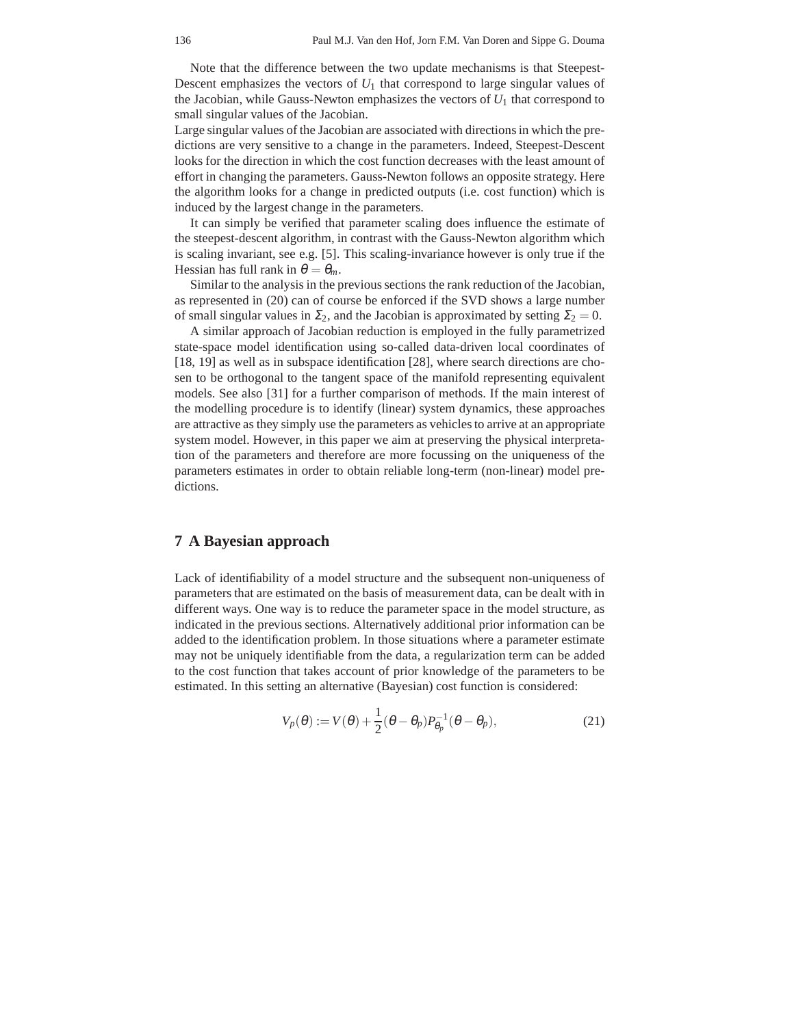Note that the difference between the two update mechanisms is that Steepest-Descent emphasizes the vectors of  $U_1$  that correspond to large singular values of the Jacobian, while Gauss-Newton emphasizes the vectors of  $U_1$  that correspond to small singular values of the Jacobian.

Large singular values of the Jacobian are associated with directions in which the predictions are very sensitive to a change in the parameters. Indeed, Steepest-Descent looks for the direction in which the cost function decreases with the least amount of effort in changing the parameters. Gauss-Newton follows an opposite strategy. Here the algorithm looks for a change in predicted outputs (i.e. cost function) which is induced by the largest change in the parameters.

It can simply be verified that parameter scaling does influence the estimate of the steepest-descent algorithm, in contrast with the Gauss-Newton algorithm which is scaling invariant, see e.g. [5]. This scaling-invariance however is only true if the Hessian has full rank in  $\theta = \theta_m$ .

Similar to the analysis in the previous sections the rank reduction of the Jacobian, as represented in (20) can of course be enforced if the SVD shows a large number of small singular values in  $\Sigma_2$ , and the Jacobian is approximated by setting  $\Sigma_2 = 0$ .

A similar approach of Jacobian reduction is employed in the fully parametrized state-space model identification using so-called data-driven local coordinates of [18, 19] as well as in subspace identification [28], where search directions are chosen to be orthogonal to the tangent space of the manifold representing equivalent models. See also [31] for a further comparison of methods. If the main interest of the modelling procedure is to identify (linear) system dynamics, these approaches are attractive as they simply use the parameters as vehicles to arrive at an appropriate system model. However, in this paper we aim at preserving the physical interpretation of the parameters and therefore are more focussing on the uniqueness of the parameters estimates in order to obtain reliable long-term (non-linear) model predictions.

## **7 A Bayesian approach**

Lack of identifiability of a model structure and the subsequent non-uniqueness of parameters that are estimated on the basis of measurement data, can be dealt with in different ways. One way is to reduce the parameter space in the model structure, as indicated in the previous sections. Alternatively additional prior information can be added to the identification problem. In those situations where a parameter estimate may not be uniquely identifiable from the data, a regularization term can be added to the cost function that takes account of prior knowledge of the parameters to be estimated. In this setting an alternative (Bayesian) cost function is considered:

$$
V_p(\theta) := V(\theta) + \frac{1}{2} (\theta - \theta_p) P_{\theta_p}^{-1} (\theta - \theta_p), \qquad (21)
$$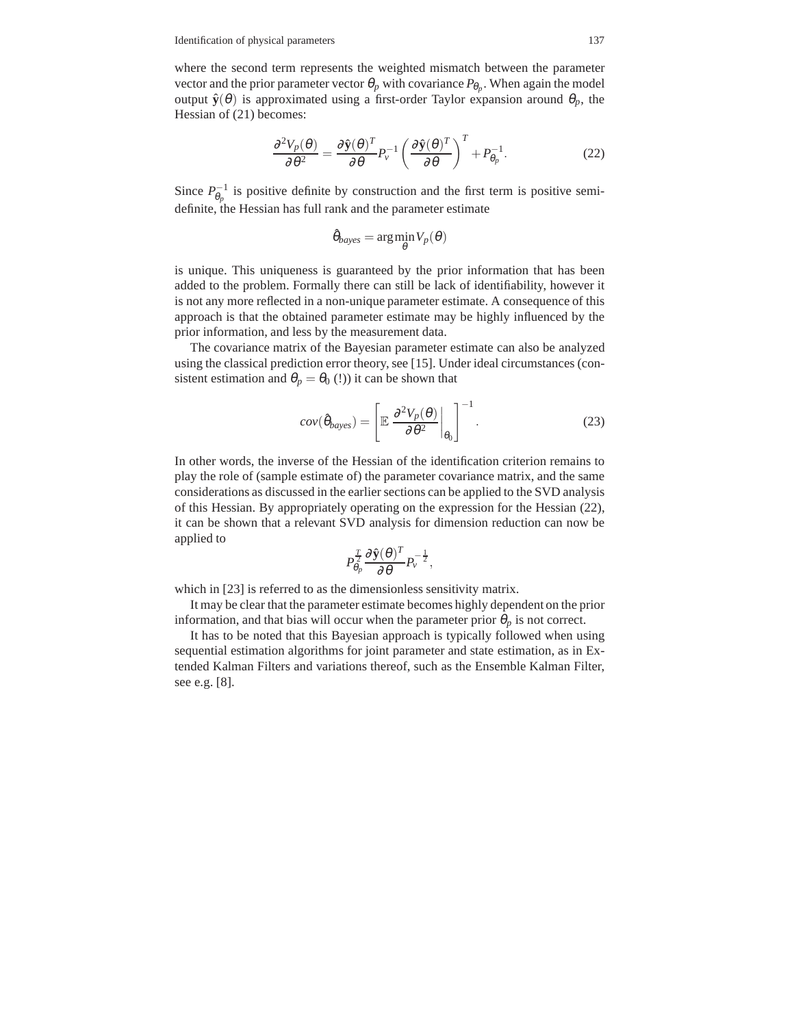where the second term represents the weighted mismatch between the parameter vector and the prior parameter vector  $\theta_p$  with covariance  $P_{\theta_p}$ . When again the model output  $\hat{\mathbf{y}}(\theta)$  is approximated using a first-order Taylor expansion around θ<sub>p</sub>, the Hessian of (21) becomes:

$$
\frac{\partial^2 V_p(\theta)}{\partial \theta^2} = \frac{\partial \hat{\mathbf{y}}(\theta)^T}{\partial \theta} P_{\nu}^{-1} \left( \frac{\partial \hat{\mathbf{y}}(\theta)^T}{\partial \theta} \right)^T + P_{\theta_p}^{-1}.
$$
 (22)

Since  $P_{\theta_p}^{-1}$  is positive definite by construction and the first term is positive semidefinite, the Hessian has full rank and the parameter estimate

$$
\hat{\theta}_{bayes} = \arg\min_{\theta} V_p(\theta)
$$

is unique. This uniqueness is guaranteed by the prior information that has been added to the problem. Formally there can still be lack of identifiability, however it is not any more reflected in a non-unique parameter estimate. A consequence of this approach is that the obtained parameter estimate may be highly influenced by the prior information, and less by the measurement data.

The covariance matrix of the Bayesian parameter estimate can also be analyzed using the classical prediction error theory, see [15]. Under ideal circumstances (consistent estimation and  $\theta_p = \theta_0$  (!)) it can be shown that

$$
cov(\hat{\theta}_{bayes}) = \left[ \mathbb{E} \left. \frac{\partial^2 V_p(\theta)}{\partial \theta^2} \right|_{\theta_0} \right]^{-1}.
$$
 (23)

In other words, the inverse of the Hessian of the identification criterion remains to play the role of (sample estimate of) the parameter covariance matrix, and the same considerations as discussed in the earlier sections can be applied to the SVD analysis of this Hessian. By appropriately operating on the expression for the Hessian (22), it can be shown that a relevant SVD analysis for dimension reduction can now be applied to

$$
P_{\theta_p}^{\frac{T}{2}} \frac{\partial \hat{\mathbf{y}}(\theta)^T}{\partial \theta} P_{\nu}^{-\frac{1}{2}},
$$

which in [23] is referred to as the dimensionless sensitivity matrix.

It may be clear that the parameter estimate becomes highly dependent on the prior information, and that bias will occur when the parameter prior  $\theta_p$  is not correct.

It has to be noted that this Bayesian approach is typically followed when using sequential estimation algorithms for joint parameter and state estimation, as in Extended Kalman Filters and variations thereof, such as the Ensemble Kalman Filter, see e.g. [8].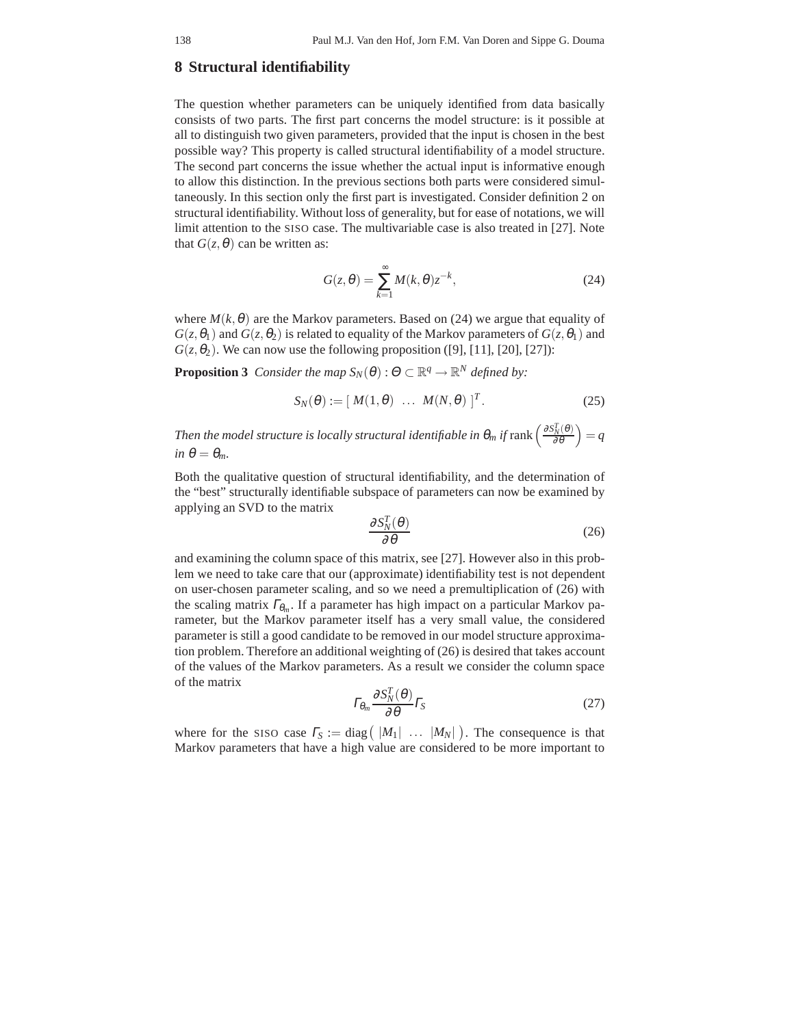### **8 Structural identifiability**

The question whether parameters can be uniquely identified from data basically consists of two parts. The first part concerns the model structure: is it possible at all to distinguish two given parameters, provided that the input is chosen in the best possible way? This property is called structural identifiability of a model structure. The second part concerns the issue whether the actual input is informative enough to allow this distinction. In the previous sections both parts were considered simultaneously. In this section only the first part is investigated. Consider definition 2 on structural identifiability. Without loss of generality, but for ease of notations, we will limit attention to the SISO case. The multivariable case is also treated in [27]. Note that  $G(z, \theta)$  can be written as:

$$
G(z,\theta) = \sum_{k=1}^{\infty} M(k,\theta) z^{-k},
$$
\n(24)

where  $M(k, \theta)$  are the Markov parameters. Based on (24) we argue that equality of  $G(z, \theta_1)$  and  $G(z, \theta_2)$  is related to equality of the Markov parameters of  $G(z, \theta_1)$  and  $G(z, \theta_2)$ . We can now use the following proposition ([9], [11], [20], [27]):

**Proposition 3** *Consider the map*  $S_N(\theta)$  :  $\Theta \subset \mathbb{R}^q \to \mathbb{R}^N$  *defined by:* 

$$
S_N(\theta) := [M(1,\theta) \ \dots \ M(N,\theta)]^T. \tag{25}
$$

*Then the model structure is locally structural identifiable in*  $\theta_m$  *if*  $\text{rank}\left(\frac{\partial S^T_N(\theta)}{\partial \theta}\right) = q$  $in \theta = \theta_m$ .

Both the qualitative question of structural identifiability, and the determination of the "best" structurally identifiable subspace of parameters can now be examined by applying an SVD to the matrix

$$
\frac{\partial S_N^T(\theta)}{\partial \theta} \tag{26}
$$

and examining the column space of this matrix, see [27]. However also in this problem we need to take care that our (approximate) identifiability test is not dependent on user-chosen parameter scaling, and so we need a premultiplication of (26) with the scaling matrix <sup>Γ</sup>θ*<sup>m</sup>* . If a parameter has high impact on a particular Markov parameter, but the Markov parameter itself has a very small value, the considered parameter is still a good candidate to be removed in our model structure approximation problem. Therefore an additional weighting of (26) is desired that takes account of the values of the Markov parameters. As a result we consider the column space of the matrix

$$
\Gamma_{\theta_m} \frac{\partial S_N^T(\theta)}{\partial \theta} \Gamma_S \tag{27}
$$

where for the SISO case  $\Gamma_S := \text{diag}(|M_1| \dots |M_N|)$ . The consequence is that Markov parameters that have a high value are considered to be more important to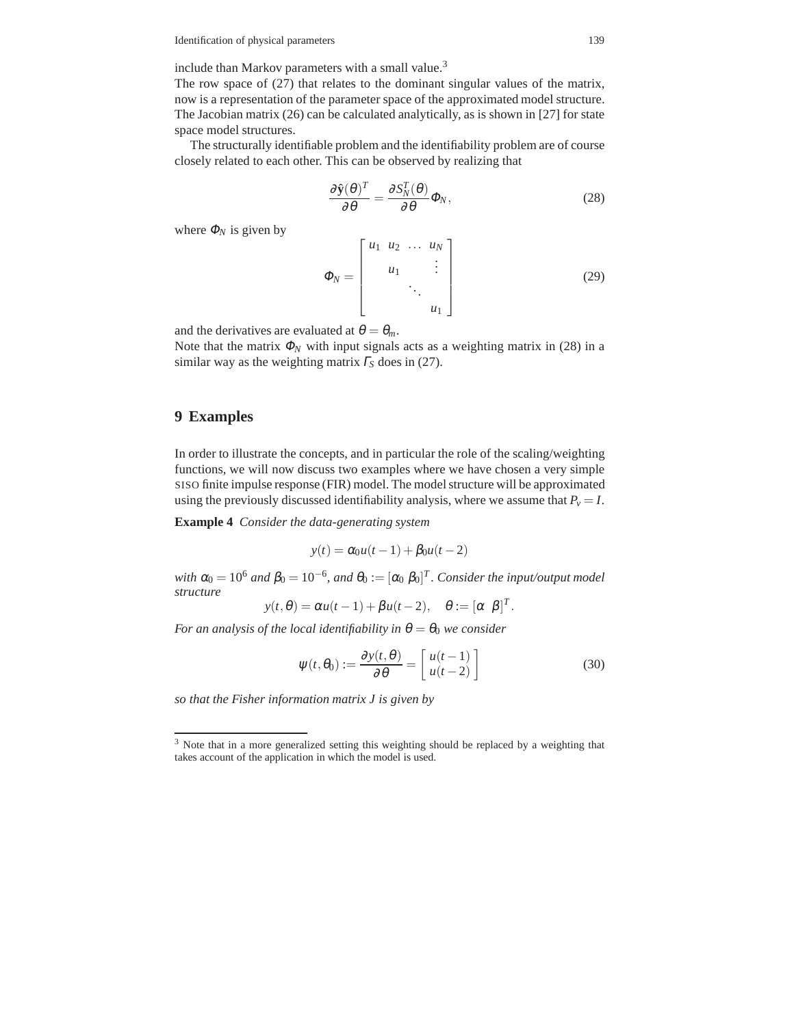include than Markov parameters with a small value.<sup>3</sup>

The row space of (27) that relates to the dominant singular values of the matrix, now is a representation of the parameter space of the approximated model structure. The Jacobian matrix (26) can be calculated analytically, as is shown in [27] for state space model structures.

The structurally identifiable problem and the identifiability problem are of course closely related to each other. This can be observed by realizing that

$$
\frac{\partial \hat{\mathbf{y}}(\theta)^T}{\partial \theta} = \frac{\partial S_N^T(\theta)}{\partial \theta} \Phi_N,
$$
\n(28)

where  $\Phi_N$  is given by

$$
\Phi_N = \begin{bmatrix} u_1 & u_2 & \dots & u_N \\ & u_1 & & \vdots \\ & & \ddots & \\ & & & u_1 \end{bmatrix}
$$
 (29)

and the derivatives are evaluated at  $\theta = \theta_m$ .

Note that the matrix  $\Phi_N$  with input signals acts as a weighting matrix in (28) in a similar way as the weighting matrix <sup>Γ</sup>*<sup>S</sup>* does in (27).

## **9 Examples**

In order to illustrate the concepts, and in particular the role of the scaling/weighting functions, we will now discuss two examples where we have chosen a very simple SISO finite impulse response (FIR) model. The model structure will be approximated using the previously discussed identifiability analysis, where we assume that  $P_v = I$ .

**Example 4** *Consider the data-generating system*

$$
y(t) = \alpha_0 u(t-1) + \beta_0 u(t-2)
$$

with  $\alpha_0 = 10^6$  and  $\beta_0 = 10^{-6}$ , and  $\theta_0 := [\alpha_0 \ \beta_0]^T$ . Consider the input/output model *structure*

$$
y(t, \theta) = \alpha u(t-1) + \beta u(t-2), \quad \theta := [\alpha \ \beta]^T.
$$

*For an analysis of the local identifiability in*  $\theta = \theta_0$  *we consider* 

$$
\psi(t,\theta_0) := \frac{\partial y(t,\theta)}{\partial \theta} = \begin{bmatrix} u(t-1) \\ u(t-2) \end{bmatrix}
$$
 (30)

*so that the Fisher information matrix J is given by*

<sup>&</sup>lt;sup>3</sup> Note that in a more generalized setting this weighting should be replaced by a weighting that takes account of the application in which the model is used.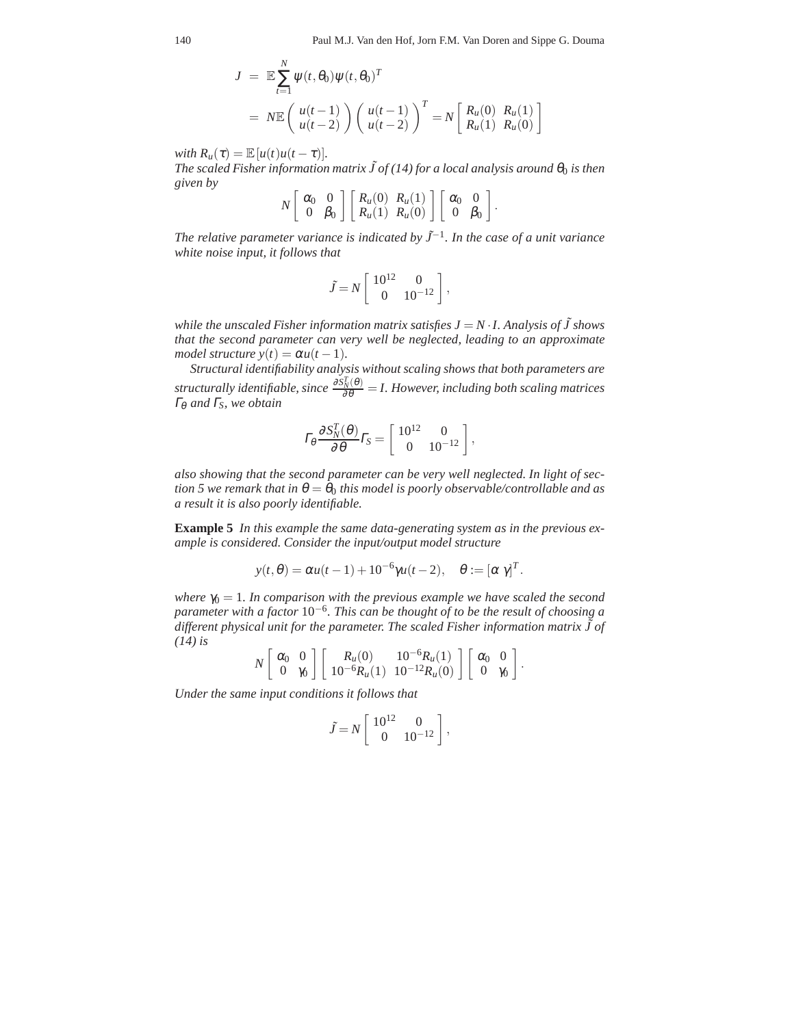$$
J = \mathbb{E} \sum_{t=1}^{N} \psi(t, \theta_0) \psi(t, \theta_0)^T
$$
  
=  $N \mathbb{E} \begin{pmatrix} u(t-1) \\ u(t-2) \end{pmatrix} \begin{pmatrix} u(t-1) \\ u(t-2) \end{pmatrix}^T = N \begin{bmatrix} R_u(0) & R_u(1) \\ R_u(1) & R_u(0) \end{bmatrix}$ 

*with*  $R_u(\tau) = \mathbb{E}[u(t)u(t-\tau)].$ 

*The scaled Fisher information matrix*  $\tilde{J}$  *of (14) for a local analysis around*  $\theta_0$  *is then given by*

$$
N\left[\begin{array}{cc}\alpha_0 & 0\\0 & \beta_0\end{array}\right]\left[\begin{array}{cc}R_u(0) & R_u(1)\\R_u(1) & R_u(0)\end{array}\right]\left[\begin{array}{cc}\alpha_0 & 0\\0 & \beta_0\end{array}\right].
$$

*The relative parameter variance is indicated by J*˜−<sup>1</sup> *. In the case of a unit variance white noise input, it follows that*

$$
\tilde{J} = N \left[ \begin{array}{cc} 10^{12} & 0 \\ 0 & 10^{-12} \end{array} \right],
$$

*while the unscaled Fisher information matrix satisfies*  $J = N \cdot I$ *. Analysis of*  $\tilde{J}$  shows *that the second parameter can very well be neglected, leading to an approximate model structure*  $y(t) = \alpha u(t-1)$ *.* 

*Structural identifiability analysis without scaling shows that both parameters are structurally identifiable, since*  $\frac{\partial S_N^T(\theta)}{\partial \theta} = I$ . However, including both scaling matrices <sup>Γ</sup><sup>θ</sup> *and* <sup>Γ</sup>*S, we obtain*

$$
\Gamma_{\theta} \frac{\partial S_N^T(\theta)}{\partial \theta} \Gamma_S = \begin{bmatrix} 10^{12} & 0 \\ 0 & 10^{-12} \end{bmatrix},
$$

*also showing that the second parameter can be very well neglected. In light of section 5 we remark that in*  $\theta = \theta_0$  *this model is poorly observable/controllable and as a result it is also poorly identifiable.*

**Example 5** *In this example the same data-generating system as in the previous example is considered. Consider the input/output model structure*

$$
y(t, \theta) = \alpha u(t-1) + 10^{-6} \gamma u(t-2), \quad \theta := [\alpha \gamma]^T.
$$

*where*  $\gamma_0 = 1$ *. In comparison with the previous example we have scaled the second parameter with a factor* 10−<sup>6</sup> *. This can be thought of to be the result of choosing a different physical unit for the parameter. The scaled Fisher information matrix*  $\tilde{J}$  of *(14) is*

$$
N\left[\begin{array}{cc}\alpha_0 & 0 \\0 & \gamma_0\end{array}\right]\left[\begin{array}{cc}R_u(0) & 10^{-6}R_u(1) \\10^{-6}R_u(1) & 10^{-12}R_u(0)\end{array}\right]\left[\begin{array}{cc}\alpha_0 & 0 \\0 & \gamma_0\end{array}\right].
$$

*Under the same input conditions it follows that*

$$
\tilde{J} = N \left[ \begin{array}{cc} 10^{12} & 0 \\ 0 & 10^{-12} \end{array} \right],
$$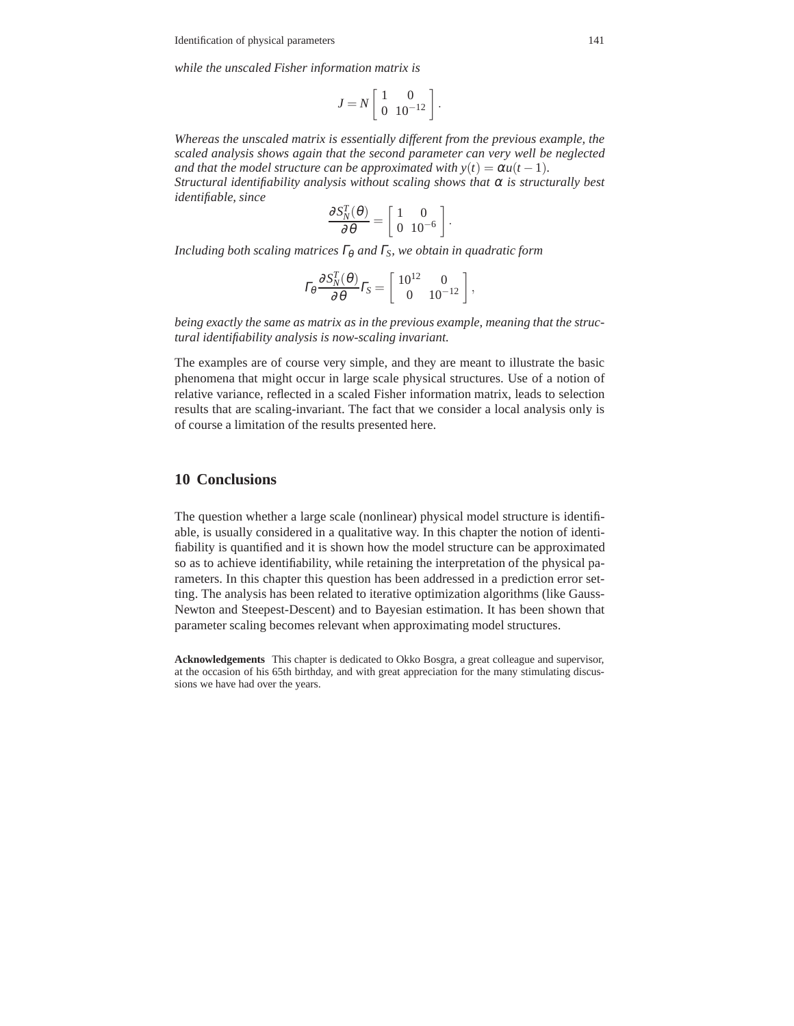Identification of physical parameters 141

*while the unscaled Fisher information matrix is*

$$
J = N \left[ \begin{array}{cc} 1 & 0 \\ 0 & 10^{-12} \end{array} \right].
$$

*Whereas the unscaled matrix is essentially different from the previous example, the scaled analysis shows again that the second parameter can very well be neglected and that the model structure can be approximated with*  $y(t) = \alpha u(t-1)$ *. Structural identifiability analysis without scaling shows that* <sup>α</sup> *is structurally best identifiable, since*

$$
\frac{\partial S_N^T(\theta)}{\partial \theta} = \begin{bmatrix} 1 & 0 \\ 0 & 10^{-6} \end{bmatrix}.
$$

*Including both scaling matrices*  $\Gamma_{\theta}$  *and*  $\Gamma_{\theta}$ *, we obtain in quadratic form* 

$$
\Gamma_{\theta} \frac{\partial S_N^T(\theta)}{\partial \theta} \Gamma_S = \begin{bmatrix} 10^{12} & 0 \\ 0 & 10^{-12} \end{bmatrix},
$$

*being exactly the same as matrix as in the previous example, meaning that the structural identifiability analysis is now-scaling invariant.*

The examples are of course very simple, and they are meant to illustrate the basic phenomena that might occur in large scale physical structures. Use of a notion of relative variance, reflected in a scaled Fisher information matrix, leads to selection results that are scaling-invariant. The fact that we consider a local analysis only is of course a limitation of the results presented here.

## **10 Conclusions**

The question whether a large scale (nonlinear) physical model structure is identifiable, is usually considered in a qualitative way. In this chapter the notion of identifiability is quantified and it is shown how the model structure can be approximated so as to achieve identifiability, while retaining the interpretation of the physical parameters. In this chapter this question has been addressed in a prediction error setting. The analysis has been related to iterative optimization algorithms (like Gauss-Newton and Steepest-Descent) and to Bayesian estimation. It has been shown that parameter scaling becomes relevant when approximating model structures.

**Acknowledgements** This chapter is dedicated to Okko Bosgra, a great colleague and supervisor, at the occasion of his 65th birthday, and with great appreciation for the many stimulating discussions we have had over the years.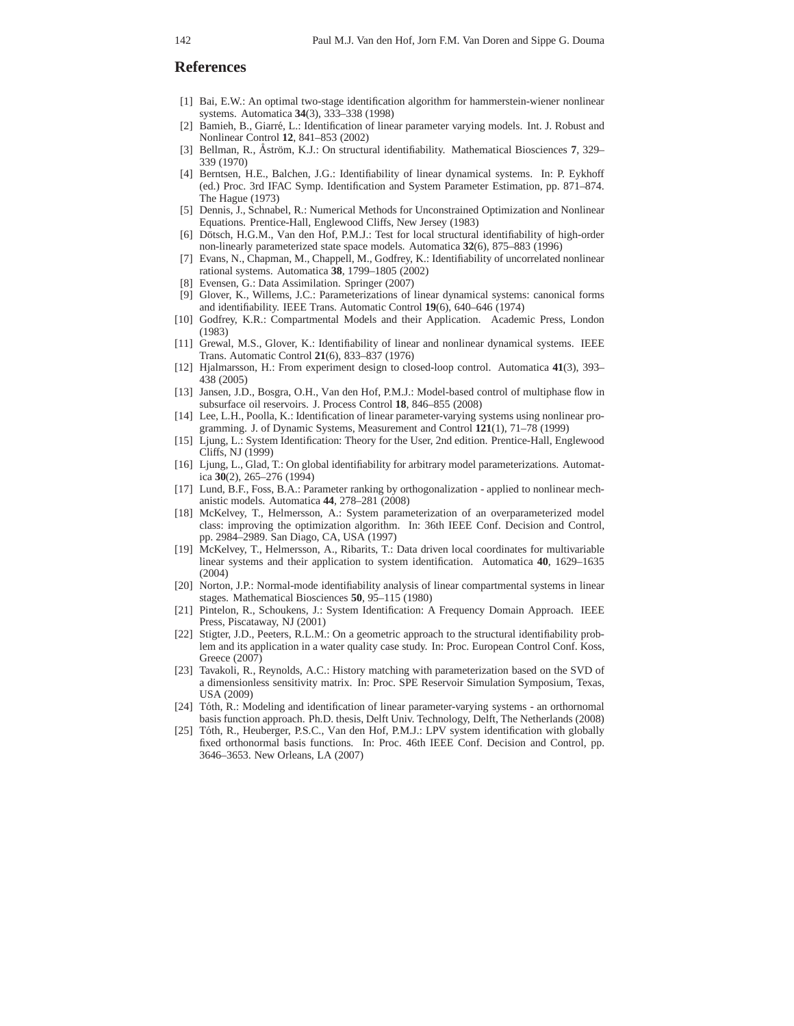#### **References**

- [1] Bai, E.W.: An optimal two-stage identification algorithm for hammerstein-wiener nonlinear systems. Automatica **34**(3), 333–338 (1998)
- [2] Bamieh, B., Giarré, L.: Identification of linear parameter varying models. Int. J. Robust and Nonlinear Control **12**, 841–853 (2002)
- [3] Bellman, R., Åström, K.J.: On structural identifiability. Mathematical Biosciences 7, 329– 339 (1970)
- [4] Berntsen, H.E., Balchen, J.G.: Identifiability of linear dynamical systems. In: P. Eykhoff (ed.) Proc. 3rd IFAC Symp. Identification and System Parameter Estimation, pp. 871–874. The Hague (1973)
- [5] Dennis, J., Schnabel, R.: Numerical Methods for Unconstrained Optimization and Nonlinear Equations. Prentice-Hall, Englewood Cliffs, New Jersey (1983)
- [6] Dötsch, H.G.M., Van den Hof, P.M.J.: Test for local structural identifiability of high-order non-linearly parameterized state space models. Automatica **32**(6), 875–883 (1996)
- [7] Evans, N., Chapman, M., Chappell, M., Godfrey, K.: Identifiability of uncorrelated nonlinear rational systems. Automatica **38**, 1799–1805 (2002)
- [8] Evensen, G.: Data Assimilation. Springer (2007)
- [9] Glover, K., Willems, J.C.: Parameterizations of linear dynamical systems: canonical forms and identifiability. IEEE Trans. Automatic Control **19**(6), 640–646 (1974)
- [10] Godfrey, K.R.: Compartmental Models and their Application. Academic Press, London (1983)
- [11] Grewal, M.S., Glover, K.: Identifiability of linear and nonlinear dynamical systems. IEEE Trans. Automatic Control **21**(6), 833–837 (1976)
- [12] Hjalmarsson, H.: From experiment design to closed-loop control. Automatica **41**(3), 393– 438 (2005)
- [13] Jansen, J.D., Bosgra, O.H., Van den Hof, P.M.J.: Model-based control of multiphase flow in subsurface oil reservoirs. J. Process Control **18**, 846–855 (2008)
- [14] Lee, L.H., Poolla, K.: Identification of linear parameter-varying systems using nonlinear programming. J. of Dynamic Systems, Measurement and Control **121**(1), 71–78 (1999)
- [15] Ljung, L.: System Identification: Theory for the User, 2nd edition. Prentice-Hall, Englewood Cliffs, NJ (1999)
- [16] Ljung, L., Glad, T.: On global identifiability for arbitrary model parameterizations. Automatica **30**(2), 265–276 (1994)
- [17] Lund, B.F., Foss, B.A.: Parameter ranking by orthogonalization applied to nonlinear mechanistic models. Automatica **44**, 278–281 (2008)
- [18] McKelvey, T., Helmersson, A.: System parameterization of an overparameterized model class: improving the optimization algorithm. In: 36th IEEE Conf. Decision and Control, pp. 2984–2989. San Diago, CA, USA (1997)
- [19] McKelvey, T., Helmersson, A., Ribarits, T.: Data driven local coordinates for multivariable linear systems and their application to system identification. Automatica **40**, 1629–1635 (2004)
- [20] Norton, J.P.: Normal-mode identifiability analysis of linear compartmental systems in linear stages. Mathematical Biosciences **50**, 95–115 (1980)
- [21] Pintelon, R., Schoukens, J.: System Identification: A Frequency Domain Approach. IEEE Press, Piscataway, NJ (2001)
- [22] Stigter, J.D., Peeters, R.L.M.: On a geometric approach to the structural identifiability problem and its application in a water quality case study. In: Proc. European Control Conf. Koss, Greece (2007)
- [23] Tavakoli, R., Reynolds, A.C.: History matching with parameterization based on the SVD of a dimensionless sensitivity matrix. In: Proc. SPE Reservoir Simulation Symposium, Texas, USA (2009)
- [24] Tóth, R.: Modeling and identification of linear parameter-varying systems an orthornomal basis function approach. Ph.D. thesis, Delft Univ. Technology, Delft, The Netherlands (2008)
- [25] Tóth, R., Heuberger, P.S.C., Van den Hof, P.M.J.: LPV system identification with globally fixed orthonormal basis functions. In: Proc. 46th IEEE Conf. Decision and Control, pp. 3646–3653. New Orleans, LA (2007)